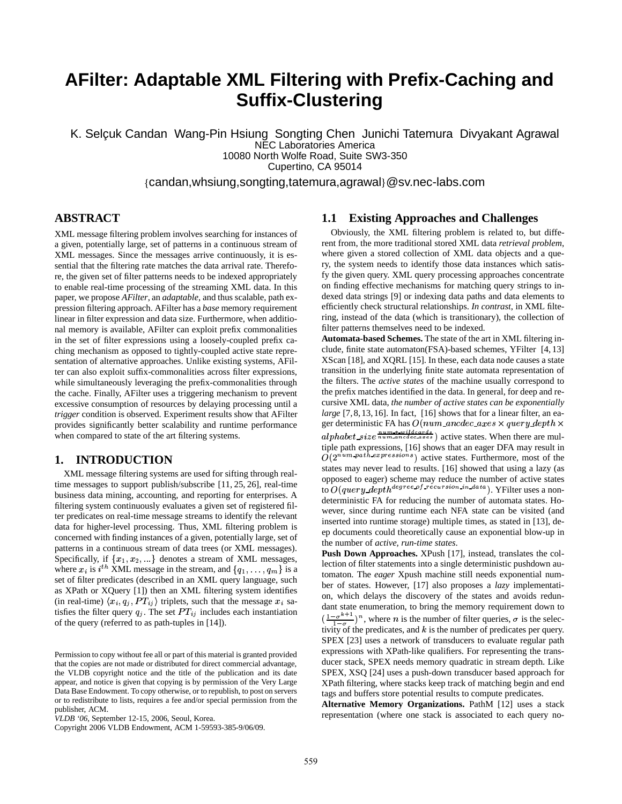# **AFilter: Adaptable XML Filtering with Prefix-Caching and Suffix-Clustering**

K. Selçuk Candan Wang-Pin Hsiung Songting Chen Junichi Tatemura Divyakant Agrawal NEC Laboratories America 10080 North Wolfe Road, Suite SW3-350 Cupertino, CA 95014

{candan,whsiung,songting,tatemura,agrawal}@sv.nec-labs.com

# **ABSTRACT**

XML message filtering problem involves searching for instances of a given, potentially large, set of patterns in a continuous stream of XML messages. Since the messages arrive continuously, it is essential that the filtering rate matches the data arrival rate. Therefore, the given set of filter patterns needs to be indexed appropriately to enable real-time processing of the streaming XML data. In this paper, we propose *AFilter*, an *adaptable*, and thus scalable, path expression filtering approach. AFilter has a *base* memory requirement linear in filter expression and data size. Furthermore, when additional memory is available, AFilter can exploit prefix commonalities in the set of filter expressions using a loosely-coupled prefix caching mechanism as opposed to tightly-coupled active state representation of alternative approaches. Unlike existing systems, AFilter can also exploit suffix-commonalities across filter expressions, while simultaneously leveraging the prefix-commonalities through the cache. Finally, AFilter uses a triggering mechanism to prevent excessive consumption of resources by delaying processing until a *trigger* condition is observed. Experiment results show that AFilter provides significantly better scalability and runtime performance when compared to state of the art filtering systems.

# **1. INTRODUCTION**

XML message filtering systems are used for sifting through realtime messages to support publish/subscribe [11, 25, 26], real-time business data mining, accounting, and reporting for enterprises. A filtering system continuously evaluates a given set of registered filter predicates on real-time message streams to identify the relevant data for higher-level processing. Thus, XML filtering problem is concerned with finding instances of a given, potentially large, set of patterns in a continuous stream of data trees (or XML messages). Specifically, if  $\{x_1, x_2, ...\}$  denotes a stream of XML messages, where  $x_i$  is  $i^{th}$  XML message in the stream, and  $\{q_1, \ldots, q_m\}$  is a set of filter predicates (described in an XML query language, such as XPath or XQuery [1]) then an XML filtering system identifies (in real-time)  $\langle x_i, q_j, PT_{ij} \rangle$  triplets, such that the message  $x_i$  satisfies the filter query  $q_i$ . The set  $PT_{ij}$  includes each instantiation of the query (referred to as path-tuples in [14]).

### **1.1 Existing Approaches and Challenges**

Obviously, the XML filtering problem is related to, but different from, the more traditional stored XML data *retrieval problem*, where given a stored collection of XML data objects and a query, the system needs to identify those data instances which satisfy the given query. XML query processing approaches concentrate on finding effective mechanisms for matching query strings to indexed data strings [9] or indexing data paths and data elements to efficiently check structural relationships. *In contrast*, in XML filtering, instead of the data (which is transitionary), the collection of filter patterns themselves need to be indexed.

**Automata-based Schemes.** The state of the art in XML filtering include, finite state automaton(FSA)-based schemes, YFilter [4, 13] XScan [18], and XQRL [15]. In these, each data node causes a state transition in the underlying finite state automata representation of the filters. The *active states* of the machine usually correspond to the prefix matches identified in the data. In general, for deep and recursive XML data, *the number of active states can be exponentially large* [7, 8, 13, 16]. In fact, [16] shows that for a linear filter, an eager deterministic FA has  $O(num\_ance{\textcolor{red}{cc}.axes}\times query{\textcolor{red}{depth}}\times$  $alpha between the number of numbers, where the number of numbers is 0, and the number of numbers is 0.$ tiple path expressions, [16] shows that an eager DFA may result in  $O(2^{num\_paths}$  are sions) active states. Furthermore, most of the . . . . . . . . . .  $^{ns}$ ) active states. Furthermore, most of the states may never lead to results. [16] showed that using a lazy (as opposed to eager) scheme may reduce the number of active states to  $O(query \text{.depth}^{degree of \text{ recursion in } data})$ . YFilter uses a nondeterministic FA for reducing the number of automata states. However, since during runtime each NFA state can be visited (and inserted into runtime storage) multiple times, as stated in [13], deep documents could theoretically cause an exponential blow-up in the number of *active, run-time states*.

**Push Down Approaches.** XPush [17], instead, translates the collection of filter statements into a single deterministic pushdown automaton. The *eager* Xpush machine still needs exponential number of states. However, [17] also proposes a *lazy* implementation, which delays the discovery of the states and avoids redundant state enumeration, to bring the memory requirement down to  $(\frac{1-\sigma^{n+1}}{1-\sigma})^n$ , where *n* is the number of filter queries,  $\sigma$  is the selectivity of the predicates, and  $k$  is the number of predicates per query. SPEX [23] uses a network of transducers to evaluate regular path expressions with XPath-like qualifiers. For representing the transducer stack, SPEX needs memory quadratic in stream depth. Like SPEX, XSQ [24] uses a push-down transducer based approach for XPath filtering, where stacks keep track of matching begin and end tags and buffers store potential results to compute predicates.

**Alternative Memory Organizations.** PathM [12] uses a stack representation (where one stack is associated to each query no-

Permission to copy without fee all or part of this material is granted provided that the copies are not made or distributed for direct commercial advantage, the VLDB copyright notice and the title of the publication and its date appear, and notice is given that copying is by permission of the Very Large Data Base Endowment. To copy otherwise, or to republish, to post on servers or to redistribute to lists, requires a fee and/or special permission from the publisher, ACM.

*VLDB '06,* September 12-15, 2006, Seoul, Korea.

Copyright 2006 VLDB Endowment, ACM 1-59593-385-9/06/09.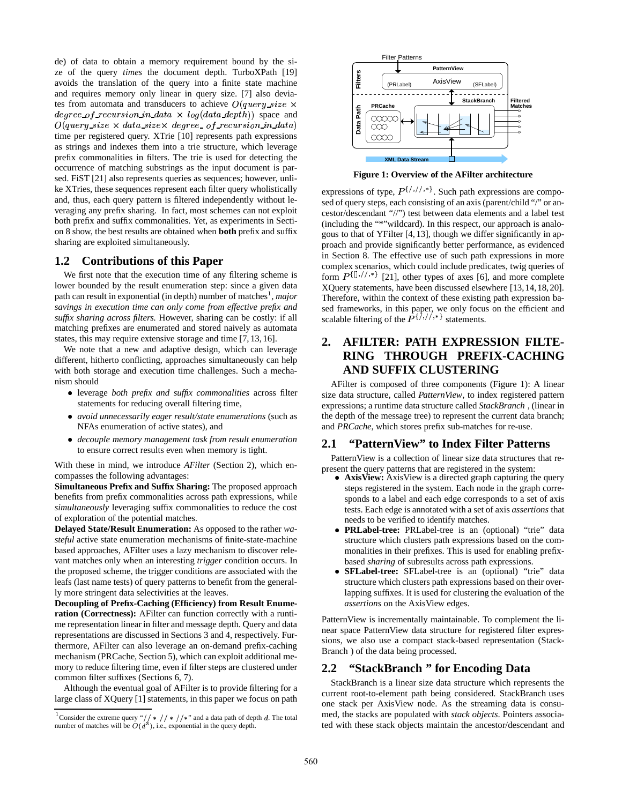de) of data to obtain a memory requirement bound by the size of the query *times* the document depth. TurboXPath [19] avoids the translation of the query into a finite state machine and requires memory only linear in query size. [7] also deviates from automata and transducers to achieve  $O(query\_size \times$  $degree\_of\_reursion\_in\_data \times log(data\_depth))$  space and  $O(query\_size \times data\_size \times degree\_of\_recursion\_in\_data)$ time per registered query. XTrie [10] represents path expressions as strings and indexes them into a trie structure, which leverage prefix commonalities in filters. The trie is used for detecting the occurrence of matching substrings as the input document is parsed. FiST [21] also represents queries as sequences; however, unlike XTries, these sequences represent each filter query wholistically and, thus, each query pattern is filtered independently without leveraging any prefix sharing. In fact, most schemes can not exploit both prefix and suffix commonalities. Yet, as experiments in Section 8 show, the best results are obtained when **both** prefix and suffix sharing are exploited simultaneously.

### **1.2 Contributions of this Paper**

We first note that the execution time of any filtering scheme is lower bounded by the result enumeration step: since a given data path can result in exponential (in depth) number of matches<sup>1</sup>, major *savings in execution time can only come from effective prefix and suffix sharing across filters.* However, sharing can be costly: if all matching prefixes are enumerated and stored naively as automata states, this may require extensive storage and time [7, 13, 16].

We note that a new and adaptive design, which can leverage different, hitherto conflicting, approaches simultaneously can help with both storage and execution time challenges. Such a mechanism should

- leverage *both prefix and suffix commonalities* across filter statements for reducing overall filtering time,
- *avoid unnecessarily eager result/state enumerations* (such as NFAs enumeration of active states), and
- *decouple memory management task from result enumeration* to ensure correct results even when memory is tight.

With these in mind, we introduce *AFilter* (Section 2), which encompasses the following advantages:

**Simultaneous Prefix and Suffix Sharing:** The proposed approach benefits from prefix commonalities across path expressions, while *simultaneously* leveraging suffix commonalities to reduce the cost of exploration of the potential matches.

**Delayed State/Result Enumeration:** As opposed to the rather *wasteful* active state enumeration mechanisms of finite-state-machine based approaches, AFilter uses a lazy mechanism to discover relevant matches only when an interesting *trigger* condition occurs. In the proposed scheme, the trigger conditions are associated with the leafs (last name tests) of query patterns to benefit from the generally more stringent data selectivities at the leaves.

**Decoupling of Prefix-Caching (Efficiency) from Result Enumeration (Correctness):** AFilter can function correctly with a runtime representation linear in filter and message depth. Query and data representations are discussed in Sections 3 and 4, respectively. Furthermore, AFilter can also leverage an on-demand prefix-caching mechanism (PRCache, Section 5), which can exploit additional memory to reduce filtering time, even if filter steps are clustered under common filter suffixes (Sections 6, 7).

Although the eventual goal of AFilter is to provide filtering for a large class of XQuery [1] statements, in this paper we focus on path



**Figure 1: Overview of the AFilter architecture**

expressions of type,  $P^{\{/\},\{/\},*}}$ . Such path expressions are composed of query steps, each consisting of an axis (parent/child "/" or ancestor/descendant "//") test between data elements and a label test (including the "\*"wildcard). In this respect, our approach is analogous to that of YFilter [4, 13], though we differ significantly in approach and provide significantly better performance, as evidenced in Section 8. The effective use of such path expressions in more complex scenarios, which could include predicates, twig queries of form  $P^{\{U_1, \prime\}, *}\$  [21], other types of axes [6], and more complete XQuery statements, have been discussed elsewhere [13,14,18,20]. Therefore, within the context of these existing path expression based frameworks, in this paper, we only focus on the efficient and scalable filtering of the  $P^{\{1,1,1,2\}}$  statements.

# **2. AFILTER: PATH EXPRESSION FILTE-RING THROUGH PREFIX-CACHING AND SUFFIX CLUSTERING**

AFilter is composed of three components (Figure 1): A linear size data structure, called *PatternView*, to index registered pattern expressions; a runtime data structure called *StackBranch ,* (linear in the depth of the message tree) to represent the current data branch; and *PRCache*, which stores prefix sub-matches for re-use.

# **2.1 "PatternView" to Index Filter Patterns**

PatternView is a collection of linear size data structures that represent the query patterns that are registered in the system:

- **AxisView:** AxisView is a directed graph capturing the query steps registered in the system. Each node in the graph corresponds to a label and each edge corresponds to a set of axis tests. Each edge is annotated with a set of axis *assertions* that needs to be verified to identify matches.
- **PRLabel-tree:** PRLabel-tree is an (optional) "trie" data structure which clusters path expressions based on the commonalities in their prefixes. This is used for enabling prefixbased *sharing* of subresults across path expressions.
- **SFLabel-tree:** SFLabel-tree is an (optional) "trie" data structure which clusters path expressions based on their overlapping suffixes. It is used for clustering the evaluation of the *assertions* on the AxisView edges.

PatternView is incrementally maintainable. To complement the linear space PatternView data structure for registered filter expressions, we also use a compact stack-based representation (Stack-Branch ) of the data being processed.

### **2.2 "StackBranch " for Encoding Data**

StackBranch is a linear size data structure which represents the current root-to-element path being considered. StackBranch uses one stack per AxisView node. As the streaming data is consumed, the stacks are populated with *stack objects*. Pointers associated with these stack objects maintain the ancestor/descendant and

<sup>&</sup>lt;sup>1</sup> Consider the extreme query "// \* // \* //\*" and a data path of depth d. The total number of matches will be  $O(d^3)$ , i.e., exponential in the query depth.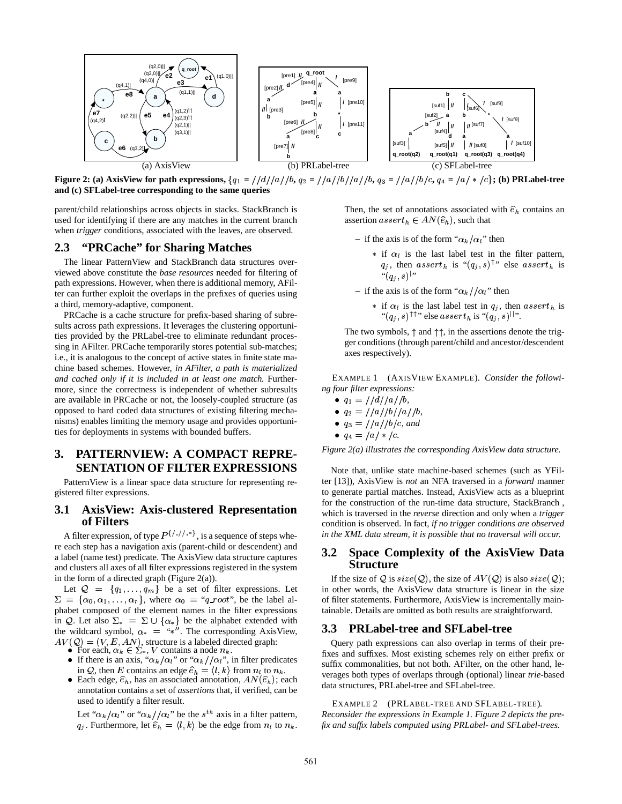

**Figure** 2: (a) AxisView for path expressions,  $\{q_1 = \frac{\frac{1}{d}}{\frac{a}{b_1a_2}}\}$   $\{a/p_1/a/p_2, q_3 = \frac{1}{a}\frac{1}{b/c}, q_4 = \frac{1}{a} \}$   $\star$   $\{c\}$ ; (b) PRLabel-tree **and (c) SFLabel-tree corresponding to the same queries**

parent/child relationships across objects in stacks. StackBranch is used for identifying if there are any matches in the current branch when *trigger* conditions, associated with the leaves, are observed.

# **2.3 "PRCache" for Sharing Matches**

The linear PatternView and StackBranch data structures overviewed above constitute the *base resources* needed for filtering of path expressions. However, when there is additional memory, AFilter can further exploit the overlaps in the prefixes of queries using a third, memory-adaptive, component.

PRCache is a cache structure for prefix-based sharing of subresults across path expressions. It leverages the clustering opportunities provided by the PRLabel-tree to eliminate redundant processing in AFilter. PRCache temporarily stores potential sub-matches; i.e., it is analogous to the concept of active states in finite state machine based schemes. However, *in AFilter, a path is materialized and cached only if it is included in at least one match.* Furthermore, since the correctness is independent of whether subresults are available in PRCache or not, the loosely-coupled structure (as opposed to hard coded data structures of existing filtering mechanisms) enables limiting the memory usage and provides opportunities for deployments in systems with bounded buffers.

# **3. PATTERNVIEW: A COMPACT REPRE-SENTATION OF FILTER EXPRESSIONS**

PatternView is a linear space data structure for representing registered filter expressions.

## **3.1 AxisView: Axis-clustered Representation of Filters**

A filter expression, of type  $P^{\{1,1,1,*\}}$ , is a sequence of steps where each step has a navigation axis (parent-child or descendent) and a label (name test) predicate. The AxisView data structure captures and clusters all axes of all filter expressions registered in the system in the form of a directed graph (Figure  $2(a)$ ).

Let  $Q = \{q_1, \ldots, q_m\}$  be a set of filter expressions. Let  $\Sigma = {\alpha_0, \alpha_1, \ldots, \alpha_r}$ , where  $\alpha_0 = "q\_root"$ , be the label alphabet composed of the element names in the filter expressions in Q. Let also  $\Sigma_* = \Sigma \cup \{\alpha_*\}$  be the alphabet extended with the wildcard symbol,  $\alpha_* =$  "\*". The corresponding AxisView,  $AV(Q) = (V, E, AN)$ , structure is a labeled directed graph:

- 
- For each,  $\alpha_k \in \Sigma^*$ , V contains a node  $n_k$ .<br>If there is an axis, " $\alpha_k/\alpha_l$ " or " $\alpha_k/\alpha_l$ ", in filter predicates in Q, then E contains an edge  $\hat{e}_h = \langle l, k \rangle$  from  $n_l$  to  $n_k$ .
- Each edge,  $\hat{e}_h$ , has an associated annotation,  $AN(\hat{e}_h)$ ; each annotation contains a set of *assertions* that, if verified, can be used to identify a filter result.

Let " $\alpha_k/\alpha_l$ " or " $\alpha_k/\alpha_l$ " be the  $s^{th}$  axis in a filter pattern,  $q_j$ . Furthermore, let  $\hat{e}_h = \langle l, k \rangle$  be the edge from  $n_l$  to  $n_k$ . fix a Then, the set of annotations associated with  $\hat{e}_h$  contains an assertion  $assert_h \in AN(\widehat{e}_h)$ , such that

- $-$  if the axis is of the form " $\alpha_k/\alpha_l$ " then
	- $*$  if  $\alpha_i$  is the last label test in the filter pattern,  $q_j$ , then  $assert_h$  is " $(q_j, s)$ " else  $assert_h$  is  $``(q_j, s)"$
- $-$  if the axis is of the form " $\alpha_k / \alpha_l$ " then
	- $*$  if  $\alpha_l$  is the last label test in  $q_j$ , then  $assert_h$  is " $(q_i, s)$ <sup> $\uparrow \uparrow$ </sup>" else assert<sub>h</sub> is " $(q_i, s)$ <sup>||</sup>".

The two symbols,  $\uparrow$  and  $\uparrow \uparrow$ , in the assertions denote the trigger conditions (through parent/child and ancestor/descendent axes respectively).

EXAMPLE 1 (AXISVIEW EXAMPLE). *Consider the following four filter expressions:*

\n- $$
q_1 = \frac{\frac{1}{d}}{a}
$$
\n- $q_2 = \frac{\frac{1}{d}}{b}$
\n- $q_3 = \frac{\frac{1}{d}}{b}$
\n

$$
\bullet \ \ q_4 = /a/*/c.
$$

*Figure 2(a) illustrates the corresponding AxisView data structure.*

Note that, unlike state machine-based schemes (such as YFilter [13]), AxisView is *not* an NFA traversed in a *forward* manner to generate partial matches. Instead, AxisView acts as a blueprint for the construction of the run-time data structure, StackBranch , which is traversed in the *reverse* direction and only when a *trigger* condition is observed. In fact, *if no trigger conditions are observed in the XML data stream, it is possible that no traversal will occur.*

### **3.2 Space Complexity of the AxisView Data Structure**

If the size of Q is  $size(Q)$ , the size of  $AV(Q)$  is also  $size(Q)$ ; in other words, the AxisView data structure is linear in the size of filter statements. Furthermore, AxisView is incrementally maintainable. Details are omitted as both results are straightforward.

#### **3.3 PRLabel-tree and SFLabel-tree**

Query path expressions can also overlap in terms of their prefixes and suffixes. Most existing schemes rely on either prefix or suffix commonalities, but not both. AFilter, on the other hand, leverages both types of overlaps through (optional) linear *trie*-based data structures, PRLabel-tree and SFLabel-tree.

EXAMPLE 2 (PRLABEL-TREE AND SFLABEL-TREE). *Reconsider the expressions in Example 1. Figure 2 depicts the prefix and suffix labels computed using PRLabel- and SFLabel-trees.*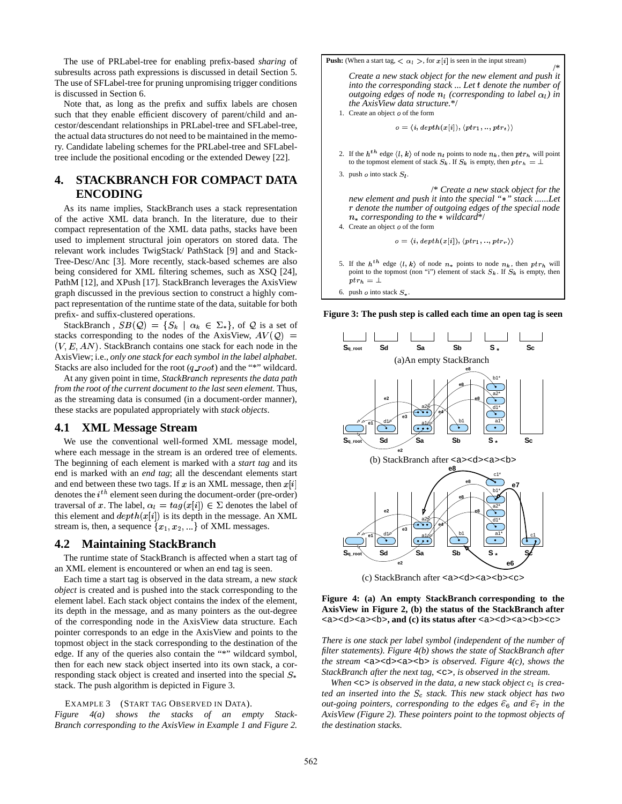The use of PRLabel-tree for enabling prefix-based *sharing* of subresults across path expressions is discussed in detail Section 5. The use of SFLabel-tree for pruning unpromising trigger conditions is discussed in Section 6.

Note that, as long as the prefix and suffix labels are chosen such that they enable efficient discovery of parent/child and ancestor/descendant relationships in PRLabel-tree and SFLabel-tree, the actual data structures do not need to be maintained in the memory. Candidate labeling schemes for the PRLabel-tree and SFLabeltree include the positional encoding or the extended Dewey [22].

# **4. STACKBRANCH FOR COMPACT DATA ENCODING**

As its name implies, StackBranch uses a stack representation of the active XML data branch. In the literature, due to their compact representation of the XML data paths, stacks have been used to implement structural join operators on stored data. The relevant work includes TwigStack/ PathStack [9] and and Stack-Tree-Desc/Anc [3]. More recently, stack-based schemes are also being considered for XML filtering schemes, such as XSQ [24], PathM [12], and XPush [17]. StackBranch leverages the AxisView graph discussed in the previous section to construct a highly compact representation of the runtime state of the data, suitable for both prefix- and suffix-clustered operations.

StackBranch,  $SB(\mathcal{Q}) = \{S_k \mid \alpha_k \in \Sigma_*\}$ , of  $\mathcal Q$  is a set of stacks corresponding to the nodes of the AxisView,  $AV(Q)$  =  $(V, E, AN)$ . StackBranch contains one stack for each node in the AxisView; i.e., *only one stack for each symbol in the label alphabet*. Stacks are also included for the root  $(q_{\textit{root}})$  and the "\*" wildcard.

At any given point in time, *StackBranch represents the data path from the root of the current document to the last seen element.* Thus, as the streaming data is consumed (in a document-order manner), these stacks are populated appropriately with *stack objects*.

### **4.1 XML Message Stream**

We use the conventional well-formed XML message model, where each message in the stream is an ordered tree of elements. The beginning of each element is marked with a *start tag* and its end is marked with an *end tag*; all the descendant elements start and end between these two tags. If x is an XML message, then  $x[i]$ denotes the  $i^{th}$  element seen during the document-order (pre-order) traversal of x. The label,  $\alpha_l = tag(x[i]) \in \Sigma$  denotes the label of this element and  $depth(x[i])$  is its depth in the message. An XML stream is, then, a sequence  $\{x_1, x_2, ...\}$  of XML messages.

# **4.2 Maintaining StackBranch**

The runtime state of StackBranch is affected when a start tag of an XML element is encountered or when an end tag is seen.

Each time a start tag is observed in the data stream, a new *stack object* is created and is pushed into the stack corresponding to the element label. Each stack object contains the index of the element, its depth in the message, and as many pointers as the out-degree of the corresponding node in the AxisView data structure. Each pointer corresponds to an edge in the AxisView and points to the topmost object in the stack corresponding to the destination of the edge. If any of the queries also contain the "\*" wildcard symbol, then for each new stack object inserted into its own stack, a corresponding stack object is created and inserted into the special  $S_*$ stack. The push algorithm is depicted in Figure 3.

#### EXAMPLE 3 (START TAG OBSERVED IN DATA).

*Figure 4(a) shows the stacks of an empty Stack-Branch corresponding to the AxisView in Example 1 and Figure 2.* **Push:** (When a start tag,  $\langle \alpha_l \rangle$ , for  $x[i]$  is seen in the input stream) /\* *Create a new stack object for the new element and push it into* the *corresponding stack* ... Let t denote the *number* of *outgoing edges of node*  $n_l$  (corresponding to label  $\alpha_l$ ) in *the AxisView data structure.*\*/ 1. Create an object  $o$  of the form  $\varphi = \langle i, depth(x[i]), \langle ptr_1, ..., ptr_t \rangle \rangle$ 2. If the  $h^{th}$  edge  $\langle l, k \rangle$  of node  $n_l$  points to node  $n_k$ , then  $ptr_h$  will point to the topmost element of stack  $S_k$ . If  $S_k$  is empty, then  $ptr_h = \bot$ 3. push  $o$  into stack  $S_l$ . /\* *Create a new stack object for the new element and push it into the special " " stack ......Let* 4 *denote the number of outgoing edges of the special node* & *corresponding to the wildcard*\*/ 4. Create an object  $o$  of the form  $\rho = \langle i, depth(x[i]), \langle ptr_1, ..., ptr_r \rangle \rangle$ 5. If the  $h^{th}$  edge  $\langle l, k \rangle$  of node  $n_*$  points to node  $n_k$ , then  $ptr_h$  will

- point to the topmost (non "i") element of stack  $S_k$ . If  $S_k$  is empty, then  $_{ptrh} = \bot$
- 6. push  $o$  into stack  $S_*$ .

**Figure 3: The push step is called each time an open tag is seen**



(c) StackBranch after <a><d><a><br/><br/>c>

#### **Figure 4: (a) An empty StackBranch corresponding to the AxisView in Figure 2, (b) the status of the StackBranch after** <a><d><a><b>**, and (c) its status after** <a><d><a><b><c>

*There is one stack per label symbol (independent of the number of filter statements). Figure 4(b) shows the state of StackBranch after the stream* <a><d><a><b> *is observed. Figure 4(c), shows the StackBranch after the next tag,* <c>*, is observed in the stream.*

*When*  $\langle \cos \theta \rangle$  *cs is observed in the data, a new stack object*  $c_1$  *is created an inserted into the stack. This new stack object has two out-going pointers, corresponding to the edges*  $\hat{e}_6$  *and*  $\hat{e}_7$  *in the AxisView (Figure 2). These pointers point to the topmost objects of the destination stacks.*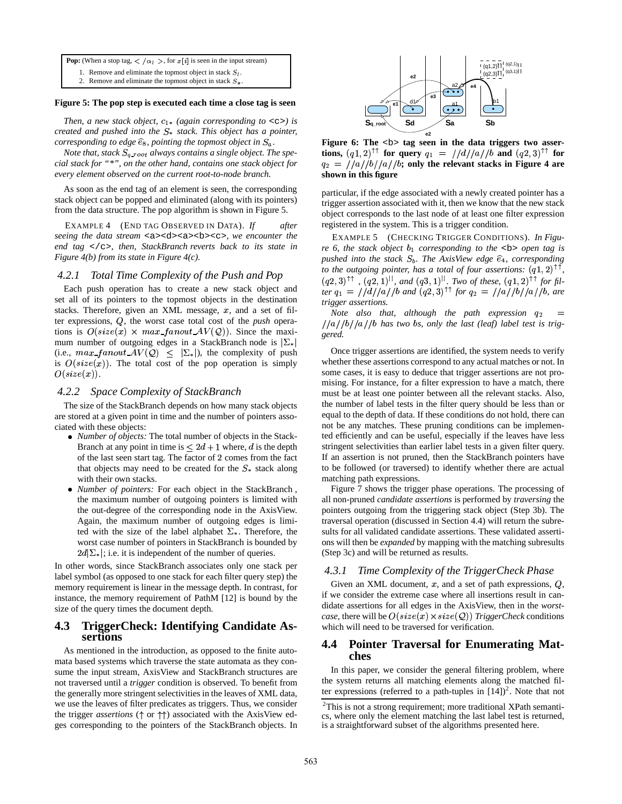**Pop:** (When a stop tag,  $\langle \alpha_i \rangle$ , for  $x[i]$  is seen in the input stream)

- 1. Remove and eliminate the topmost object in stack  $S_l$ .
- 2. Remove and eliminate the topmost object in stack  $S_{\ast}$ .

#### **Figure 5: The pop step is executed each time a close tag is seen**

*Then, a new stack object,*  $c_{1*}$  *(again corresponding to* < $c$ >*c>) is created and pushed into the stack. This object has a pointer, corresponding to edge*  $\widehat{e}_8$ , *pointing the topmost object in*  $S_a$ .

*Note* that, stack  $S_{q\_root}$  always contains a single object. The spe *cial stack for "\*", on the other hand, contains one stack object for every element observed on the current root-to-node branch.*

As soon as the end tag of an element is seen, the corresponding stack object can be popped and eliminated (along with its pointers) from the data structure. The pop algorithm is shown in Figure 5.

EXAMPLE 4 (END TAG OBSERVED IN DATA). *If after seeing the data stream* <a><d><a><b><c>*, we encounter the end tag* </c>*, then, StackBranch reverts back to its state in Figure 4(b) from its state in Figure 4(c).*

### *4.2.1 Total Time Complexity of the Push and Pop*

Each push operation has to create a new stack object and set all of its pointers to the topmost objects in the destination stacks. Therefore, given an XML message,  $x$ , and a set of filter expressions, Q, the worst case total cost of the *push* operations is  $O(size(x) \times max\_fanout \ AV(Q))$ . Since the maximum number of outgoing edges in a StackBranch node is  $|\Sigma_*|$ (i.e.,  $max\_fanout \, AV(Q) \leq |\Sigma_*|$ ), the complexity of push is  $O(size(x))$ . The total cost of the pop operation is simply  $O(size(x)).$ 

#### *4.2.2 Space Complexity of StackBranch*

The size of the StackBranch depends on how many stack objects are stored at a given point in time and the number of pointers associated with these objects:

- *Number of objects:* The total number of objects in the Stack-Branch at any point in time is  $\leq 2d+1$  where, d is the depth of the last seen start tag. The factor of 2 comes from the fact that objects may need to be created for the  $S_*$  stack along with their own stacks.
- *Number of pointers:* For each object in the StackBranch , the maximum number of outgoing pointers is limited with the out-degree of the corresponding node in the AxisView. Again, the maximum number of outgoing edges is limited with the size of the label alphabet  $\Sigma_*$ . Therefore, the worst case number of pointers in StackBranch is bounded by  $2d\sum_{\alpha}$ ; i.e. it is independent of the number of queries.

In other words, since StackBranch associates only one stack per label symbol (as opposed to one stack for each filter query step) the memory requirement is linear in the message depth. In contrast, for instance, the memory requirement of PathM [12] is bound by the size of the query times the document depth.

## **4.3 TriggerCheck: Identifying Candidate Assertions**

As mentioned in the introduction, as opposed to the finite automata based systems which traverse the state automata as they consume the input stream, AxisView and StackBranch structures are not traversed until a *trigger* condition is observed. To benefit from the generally more stringent selectivities in the leaves of XML data, we use the leaves of filter predicates as triggers. Thus, we consider the trigger *assertions* ( $\uparrow$  or  $\uparrow$  $\uparrow$ ) associated with the AxisView edges corresponding to the pointers of the StackBranch objects. In



**e2 Figure 6: The** <b> **tag seen in the data triggers two assertions,**  $(q1, 2)^{\top\top}$  for query  $q_1 = \frac{1}{d}/\frac{d}{a}/b$  and  $(q2, 3)^{\top\top}$  for  $q_2 = \frac{1}{a}/\frac{a}{b}/a/\frac{b}{a}$ ; only the relevant stacks in Figure 4 are **shown in this figure**

particular, if the edge associated with a newly created pointer has a trigger assertion associated with it, then we know that the new stack object corresponds to the last node of at least one filter expression registered in the system. This is a trigger condition.

EXAMPLE 5 (CHECKING TRIGGER CONDITIONS). *In Figure* 6, the stack object  $b_1$  corresponding to the  $\lt b$  open tag is pushed into the stack  $S_b$ . The AxisView edge  $\hat{e}_4$ , corresponding *to* the outgoing pointer, has a total of four assertions:  $(q1, 2)$ <sup>TT</sup>,  $(q2, 3)$ <sup> $\uparrow\uparrow$ </sup>,  $(q2, 1)$ <sup>||</sup>, and  $(q3, 1)$ <sup>||</sup>. Two of these,  $(q1, 2)$ <sup> $\uparrow\uparrow$ </sup> for fil*ter*  $q_1 = \frac{1}{d}/\frac{d}{a}$  / *b* and  $(q2, 3)$ <sup> $\uparrow\uparrow$ </sup> for  $q_2 = \frac{1}{a}/\frac{b}{a}$  / *b*, are *trigger assertions.*

*Note also that, although the path expression*  $\frac{1}{a}\left(\frac{b}{a}\right)$  *(b)* /a//*b* has two bs, only the last (leaf) label test is trig*gered.*

Once trigger assertions are identified, the system needs to verify whether these assertions correspond to any actual matches or not. In some cases, it is easy to deduce that trigger assertions are not promising. For instance, for a filter expression to have a match, there must be at least one pointer between all the relevant stacks. Also, the number of label tests in the filter query should be less than or equal to the depth of data. If these conditions do not hold, there can not be any matches. These pruning conditions can be implemented efficiently and can be useful, especially if the leaves have less stringent selectivities than earlier label tests in a given filter query. If an assertion is not pruned, then the StackBranch pointers have to be followed (or traversed) to identify whether there are actual matching path expressions.

Figure 7 shows the trigger phase operations. The processing of all non-pruned *candidate assertions* is performed by *traversing* the pointers outgoing from the triggering stack object (Step 3b). The traversal operation (discussed in Section 4.4) will return the subresults for all validated candidate assertions. These validated assertions will then be *expanded* by mapping with the matching subresults (Step 3c) and will be returned as results.

#### *4.3.1 Time Complexity of the TriggerCheck Phase*

Given an XML document,  $x$ , and a set of path expressions,  $Q$ , if we consider the extreme case where all insertions result in candidate assertions for all edges in the AxisView, then in the *worstcase*, there will be  $O(size(x) \times size(Q))$  *TriggerCheck* conditions which will need to be traversed for verification.

# **4.4 Pointer Traversal for Enumerating Matches**

In this paper, we consider the general filtering problem, where the system returns all matching elements along the matched filter expressions (referred to a path-tuples in  $[14]$ )<sup>2</sup>. Note that not

<sup>&</sup>lt;sup>2</sup>This is not a strong requirement; more traditional XPath semantics, where only the element matching the last label test is returned, is a straightforward subset of the algorithms presented here.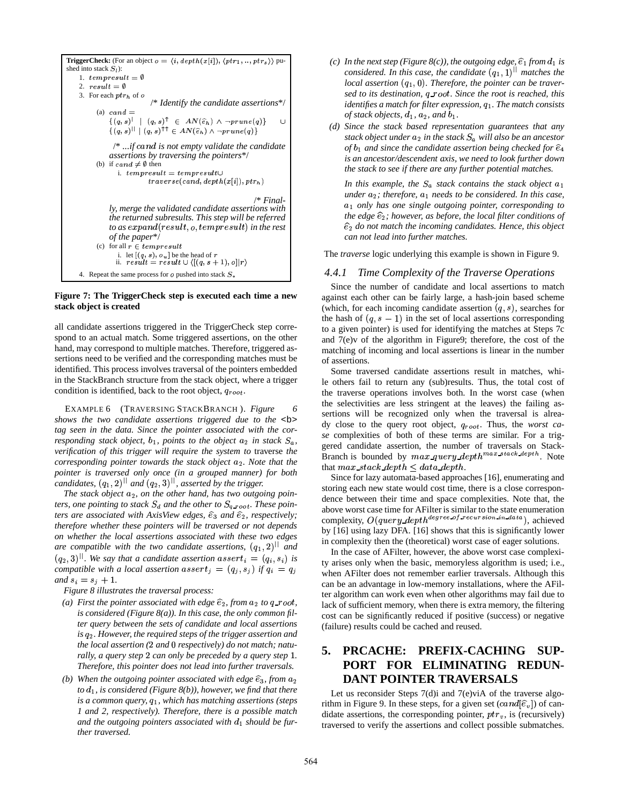```
TriggerCheck: (For an object o = \langle i, depth(x[i]), \langle ptr_1, ..., ptr_s \rangle \rangle pu-
shed into stack S_l):
    1. tempresult = \emptyset2. result = \emptyset3. For each ptr_h of \emph{o}/* Identify the candidate assertions*/
         (a) cand =\{(a, s) 
!	 -
  1 =*5  

             \{(q,s)^{|\cdot|} \mid (q,s)^{\uparrow\uparrow} \in AN(\widehat{e}_h) \land \neg prime(q)\}/* ...if cand is not empty validate the candidate
             assertions by traversing the pointers*/
         (b) if cand \neq \emptyset then
                i. tempresult = tempresult \cup!*+-,) *+-
. 
5   0)!#" $:  &)!* 1 
                                                           /* Final-
             ly, merge the validated candidate assertions with
             the returned subresults. This step will be referred
             to as expand(result,o, tempresult) in the rest
             of the paper*/
         (c) for all r \in tempresult
               i. let [(q, s), o_u] be the head of r<br>ii. result = result \cup \langle [(q, s+1), o]|r \rangle4. Repeat the same process for o pushed into stack S_*
```
#### **Figure 7: The TriggerCheck step is executed each time a new stack object is created**

all candidate assertions triggered in the TriggerCheck step correspond to an actual match. Some triggered assertions, on the other hand, may correspond to multiple matches. Therefore, triggered assertions need to be verified and the corresponding matches must be identified. This process involves traversal of the pointers embedded in the StackBranch structure from the stack object, where a trigger condition is identified, back to the root object,  $q_{root}$ .

EXAMPLE 6 (TRAVERSING STACKBRANCH ). *Figure 6 shows the two candidate assertions triggered due to the* <b> *tag seen in the data. Since the pointer associated with the corresponding stack object,*  $b_1$ *, points to the object*  $a_2$  *in stack*  $S_a$ *,*  $\qquad \qquad$  set of *verification of this trigger will require the system to* traverse *the corresponding pointer towards the stack object*  $a_2$ *. Note that the pointer is traversed only once (in a grouped manner) for both candidates,*  $(q_1, 2)^{||}$  *and*  $(q_2, 3)^{||}$ *, asserted by the trigger.* 

*The stack object*  $a_2$ *, on the other hand, has two outgoing pointers, one pointing to stack*  $S_d$  *and the other to*  $S_{q\_root}$ *. These pointers are associated with AxisView edges,*  $\hat{e}_3$  *and*  $\hat{e}_2$ *, respectively; therefore whether these pointers will be traversed or not depends on whether the local assertions associated with these two edges are* compatible with the two candidate assertions,  $(q_1, 2)^{||}$  and  $(q_2, 3)$ <sup> $\parallel$ </sup>. We say that a candidate assertion  $assert_i = (q_i, s_i)$  is *compatible* with a local assertion  $assert_j = (q_j, s_j)$  if  $q_i = q_j$  when  $and s_i = s_j + 1.$ 

*Figure 8 illustrates the traversal process:*

- *(a) First the pointer associated with edge*  $\hat{e}_2$ *, from*  $a_2$  *to*  $q$ \_root, *is considered (Figure 8(a)). In this case, the only common filter query between the sets of candidate and local assertions is . However, the required steps of the trigger assertion and the local assertion* (2 *and* 0 *respectively*) *do not match*; *naturally, a query step* 2 *can only be preceded by a query step* 1.  $\overline{5}$ . *Therefore, this pointer does not lead into further traversals.*
- *(b)* When the outgoing pointer associated with edge  $\widehat{e}_3$ , from  $a_2$  $\int$ *to*  $d_1$ *, is considered (Figure 8(b)), however, we find that there is a common query,*  $q_1$ *, which has matching assertions (steps 1 and 2, respectively). Therefore, there is a possible match* and the outgoing pointers associated with  $d_1$  should be fur*ther traversed.*
- *(c)* In the next step (Figure 8(c)), the outgoing edge,  $\widehat{e}_1$  from  $d_1$  is *considered. In this case, the candidate*  $(q_1, 1)^{||}$  *matches the local assertion*  $(q_1, 0)$ . *Therefore, the pointer can be traver*sed to its destination, q\_root. Since the root is reached, this *identifies a match for filter expression,*  $q_1$ *. The match consists of stack objects,*  $d_1$ *,*  $a_2$ *, and*  $b_1$ *.*
- *(d) Since the stack based representation guarantees that any*  $s$  *tack object under*  $a_2$  *in the stack*  $S_a$  *will also be an ancestor*  $\hat{a}_1$  and since the candidate assertion being checked for  $\hat{e}_4$ *is an ancestor/descendent axis, we need to look further down the stack to see if there are any further potential matches.*

In this example, the  $S_a$  stack contains the stack object  $a_1$ *k t a*<sub>2</sub>; *therefore,*  $a_1$  *needs to be considered. In this case,* + *only has one single outgoing pointer, corresponding to the edge*  $\widehat{e}_2$ ; *however, as before, the local filter conditions of*  $\widehat{e}_2$  do not match the *incoming candidates. Hence, this object can not lead into further matches.*

The *traverse* logic underlying this example is shown in Figure 9.

### *4.4.1 Time Complexity of the Traverse Operations*

Since the number of candidate and local assertions to match against each other can be fairly large, a hash-join based scheme (which, for each incoming candidate assertion  $(q, s)$ , searches for the hash of  $(q, s - 1)$  in the set of local assertions corresponding to a given pointer) is used for identifying the matches at Steps 7c and 7(e)v of the algorithm in Figure9; therefore, the cost of the matching of incoming and local assertions is linear in the number of assertions.

 *se* complexities of both of these terms are similar. For a trig-Some traversed candidate assertions result in matches, while others fail to return any (sub)results. Thus, the total cost of the traverse operations involves both. In the worst case (when the selectivities are less stringent at the leaves) the failing assertions will be recognized only when the traversal is already close to the query root object, \^^ . Thus, the *worst ca*gered candidate assertion, the number of traversals on Stack-Branch is bounded by  $max_{\text{query}\text{depth}^{max\_stack\text{depth}}$ . Note that  $max\_stack\_depth \leq data\_depth$ .

Since for lazy automata-based approaches [16], enumerating and storing each new state would cost time, there is a close correspondence between their time and space complexities. Note that, the above worst case time for AFilter is similar to the state enumeration complexity,  $O(query\ depth^{degree\ of\ red})$ . . . . . . . . . . . ZZ ^/a \ ZMb <sup>W</sup>  $\cdots$  ... ... ^  $\mathbf{v}$  $\cdots$  $\cdots$ . . . . . . . . . . . . . . .  $t^{\alpha}$ ), achieved by [16] using lazy DFA. [16] shows that this is significantly lower in complexity then the (theoretical) worst case of eager solutions.

 ty arises only when the basic, memoryless algorithm is used; i.e., In the case of AFilter, however, the above worst case complexiwhen AFilter does not remember earlier traversals. Although this can be an advantage in low-memory installations, where the AFilter algorithm can work even when other algorithms may fail due to lack of sufficient memory, when there is extra memory, the filtering cost can be significantly reduced if positive (success) or negative (failure) results could be cached and reused.

# **5. PRCACHE: PREFIX-CACHING SUP-PORT FOR ELIMINATING REDUN-DANT POINTER TRAVERSALS**

Let us reconsider Steps 7(d)i and 7(e)viA of the traverse algorithm in Figure 9. In these steps, for a given set  $(cand[\hat{\epsilon}_v])$  of candidate assertions, the corresponding pointer,  $ptr_v$ , is (recursively) traversed to verify the assertions and collect possible submatches.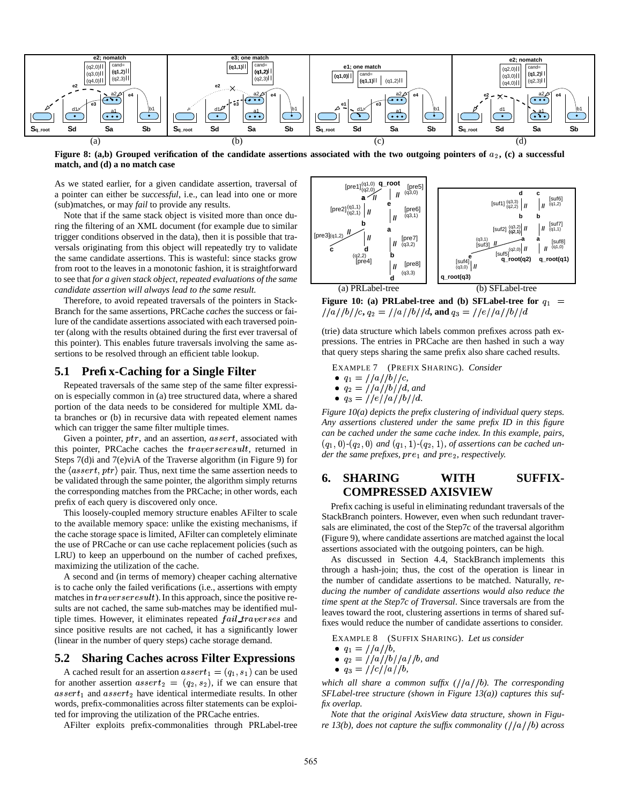

Figure 8: (a,b) Grouped verification of the candidate assertions associated with the two outgoing pointers of  $a_2$ , (c) a successful **match, and (d) a no match case**

As we stated earlier, for a given candidate assertion, traversal of a pointer can either be *successful*, i.e., can lead into one or more (sub)matches, or may *fail* to provide any results.

Note that if the same stack object is visited more than once during the filtering of an XML document (for example due to similar trigger conditions observed in the data), then it is possible that traversals originating from this object will repeatedly try to validate the same candidate assertions. This is wasteful: since stacks grow from root to the leaves in a monotonic fashion, it is straightforward to see that *for a given stack object, repeated evaluations of the same candidate assertion will always lead to the same result.*

Therefore, to avoid repeated traversals of the pointers in Stack-Branch for the same assertions, PRCache *caches* the success or failure of the candidate assertions associated with each traversed pointer (along with the results obtained during the first ever traversal of this pointer). This enables future traversals involving the same assertions to be resolved through an efficient table lookup.

### **5.1 Prefix-Caching for a Single Filter**

Repeated traversals of the same step of the same filter expression is especially common in (a) tree structured data, where a shared portion of the data needs to be considered for multiple XML data branches or (b) in recursive data with repeated element names which can trigger the same filter multiple times.

Given a pointer,  $ptr$ , and an assertion,  $assert$ , associated with this pointer, PRCache caches the *traverseresult*, returned in Steps 7(d)i and 7(e)viA of the Traverse algorithm (in Figure 9) for the  $\langle assert,ptr\rangle$  pair. Thus, next time the same assertion needs to be validated through the same pointer, the algorithm simply returns the corresponding matches from the PRCache; in other words, each prefix of each query is discovered only once.

This loosely-coupled memory structure enables AFilter to scale to the available memory space: unlike the existing mechanisms, if the cache storage space is limited, AFilter can completely eliminate the use of PRCache or can use cache replacement policies (such as LRU) to keep an upperbound on the number of cached prefixes, maximizing the utilization of the cache.

A second and (in terms of memory) cheaper caching alternative is to cache only the failed verifications (i.e., assertions with empty matches in  $traverseresult$ ). In this approach, since the positive results are not cached, the same sub-matches may be identified multiple times. However, it eliminates repeated  $fail\_traverses$  and since positive results are not cached, it has a significantly lower (linear in the number of query steps) cache storage demand.

### **5.2 Sharing Caches across Filter Expressions**

A cached result for an assertion  $assert_1 = (q_1, s_1)$  can be used for another assertion  $assert_2 = (q_2, s_2)$ , if we can ensure that  $assert_1$  and  $assert_2$  have identical intermediate results. In other words, prefix-commonalities across filter statements can be exploited for improving the utilization of the PRCache entries.

AFilter exploits prefix-commonalities through PRLabel-tree



Figure 10: (a) PRLabel-tree and (b) SFLabel-tree for 
$$
q_1 = \frac{1}{a}/\frac{b}{c}
$$
,  $q_2 = \frac{1}{a}/\frac{b}{d}$ , and  $q_3 = \frac{1}{e}/\frac{a}{b}/d$ 

(trie) data structure which labels common prefixes across path expressions. The entries in PRCache are then hashed in such a way that query steps sharing the same prefix also share cached results.

EXAMPLE 7 (PREFIX SHARING). *Consider*

- $\bullet$   $q_1 = //a//b//c,$
- $q_2 = //a//b//d$ , and
- $q_3 = //e//a//b//d$ .

*Figure 10(a) depicts the prefix clustering of individual query steps. Any assertions clustered under the same prefix ID in this figure can be cached under the same cache index. In this example, pairs,*  $(q_1, 0)$ - $(q_2, 0)$  and  $(q_1, 1)$ - $(q_2, 1)$ , of assertions can be cached under *the same prefixes, pre<sub>1</sub> and pre<sub>2</sub>, respectively.* 

# **6. SHARING WITH SUFFIX-COMPRESSED AXISVIEW**

Prefix caching is useful in eliminating redundant traversals of the StackBranch pointers. However, even when such redundant traversals are eliminated, the cost of the Step7c of the traversal algorithm (Figure 9), where candidate assertions are matched against the local assertions associated with the outgoing pointers, can be high.

As discussed in Section 4.4, StackBranch implements this through a hash-join; thus, the cost of the operation is linear in the number of candidate assertions to be matched. Naturally, *reducing the number of candidate assertions would also reduce the time spent at the Step7c of Traversal*. Since traversals are from the leaves toward the root, clustering assertions in terms of shared suffixes would reduce the number of candidate assertions to consider.

EXAMPLE 8 (SUFFIX SHARING). *Let us consider*

$$
\bullet \ \ q_1 = //a//b,
$$

• 
$$
q_2 = \frac{1}{a}/\frac{b}{a}
$$
, and

$$
\bullet \ \ q_3 = //c//a//b,
$$

*which all share a common suffix*  $\frac{1}{a}$   $\frac{1}{b}$ . The *corresponding SFLabel-tree structure (shown in Figure 13(a)) captures this suffix overlap.*

*Note that the original AxisView data structure, shown in Figure* 13(b), *does not capture the suffix commonality*  $\frac{1}{a}$   $\frac{1}{a}$  *(b) across*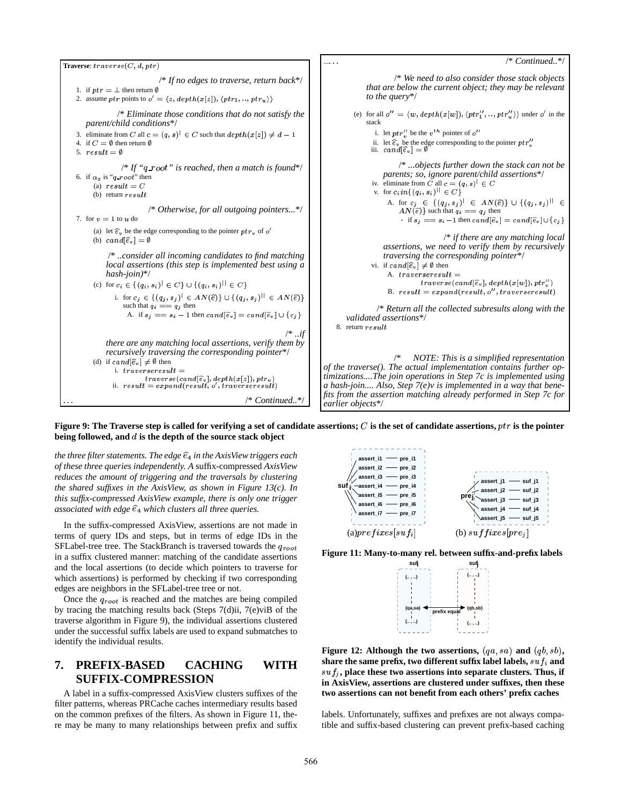

Figure 9: The Traverse step is called for verifying a set of candidate assertions;  $C$  is the set of candidate assertions,  $ptr$  is the pointer **being followed,** and d is the depth of the source stack object

*the three filterstatements. The edge* (<sup>0</sup> *in the AxisView triggers each of these three queries independently. A* suffix-compressed *AxisView reduces the amount of triggering and the traversals by clustering the shared suffixes in the AxisView, as shown in Figure 13(c). In this suffix-compressed AxisView example, there is only one trigger associated* with edge  $\hat{e}_4$  which clusters all three queries.

In the suffix-compressed AxisView, assertions are not made in terms of query IDs and steps, but in terms of edge IDs in the SFLabel-tree tree. The StackBranch is traversed towards the  $q_{root}$ in a suffix clustered manner: matching of the candidate assertions and the local assertions (to decide which pointers to traverse for which assertions) is performed by checking if two corresponding edges are neighbors in the SFLabel-tree tree or not.

Once the  $q_{root}$  is reached and the matches are being compiled by tracing the matching results back (Steps 7(d)ii, 7(e)viB of the traverse algorithm in Figure 9), the individual assertions clustered under the successful suffix labels are used to expand submatches to identify the individual results.

# **7. PREFIX-BASED CACHING WITH SUFFIX-COMPRESSION**

A label in a suffix-compressed AxisView clusters suffixes of the filter patterns, whereas PRCache caches intermediary results based on the common prefixes of the filters. As shown in Figure 11, there may be many to many relationships between prefix and suffix



**Figure 11: Many-to-many rel. between suffix-and-prefix labels**



**Figure 12:** Although the two assertions,  $(qa, sa)$  and  $(qb, sb)$ ,  ${\bf s}$  hare the same prefix, two different suffix label labels,  $suf_i$  and  $suf_j$ , place these two assertions into separate clusters. Thus, if **in AxisView, assertions are clustered under suffixes, then these two assertions can not benefit from each others' prefix caches**

labels. Unfortunately, suffixes and prefixes are not always compatible and suffix-based clustering can prevent prefix-based caching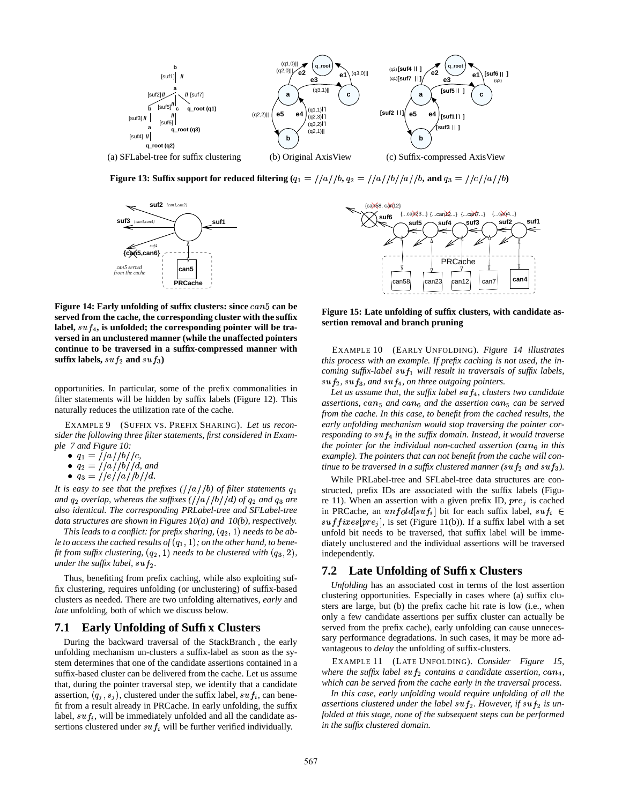

**Figure** 13: Suffix support for reduced filtering  $(q_1 = \frac{1}{a} / a / b$ ,  $q_2 = \frac{1}{a} / a / b / a / b$ , and  $q_3 = \frac{1}{c} / a / b$ 



**Figure** 14: **Early unfolding** of suffix clusters: since  $can5$  can be **served from the cache, the corresponding cluster with the suffix** label,  $suf_4$ , is unfolded; the corresponding pointer will be tra**versed in an unclustered manner (while the unaffected pointers continue to be traversed in a suffix-compressed manner with**  $\textbf{suffix labels}, \, \textit{suf}_2 \, \textbf{and} \, \, \textit{suf}_3)$ 

opportunities. In particular, some of the prefix commonalities in filter statements will be hidden by suffix labels (Figure 12). This naturally reduces the utilization rate of the cache.

EXAMPLE 9 (SUFFIX VS. PREFIX SHARING). *Let us reconsider the following three filter statements, first considered in Example 7 and Figure 10:*

- $\bullet$   $q_1 = //a//b//c$ ,
- 
- $q_2 = //a//b//d$ , and<br>•  $q_3 = //e//a//b//d$ .

*It* is easy to see that the prefixes  $\frac{1}{a}$   $\frac{1}{b}$  of filter statements  $q_1$ and  $q_2$  *overlap, whereas the suffixes* ( $//a//b//d$ ) *of*  $q_2$  *and*  $q_3$  *are also identical. The corresponding PRLabel-tree and SFLabel-tree data structures are shown in Figures 10(a) and 10(b), respectively.*

*This* leads to a conflict: for prefix sharing,  $(q_2, 1)$  needs to be ab- $I$ e *to* access the cached results of  $(q_1, 1)$ ; on the other hand, to bene*fit from suffix clustering,*  $(q_2, 1)$  *needs to be clustered with*  $(q_3, 2)$ , i *under the suffix label,*  $\mathfrak{suf}_2$ *.* 

Thus, benefiting from prefix caching, while also exploiting suffix clustering, requires unfolding (or unclustering) of suffix-based clusters as needed. There are two unfolding alternatives, *early* and *late* unfolding, both of which we discuss below.

# **7.1 Early Unfolding of Suffix Clusters**

During the backward traversal of the StackBranch , the early unfolding mechanism un-clusters a suffix-label as soon as the system determines that one of the candidate assertions contained in a suffix-based cluster can be delivered from the cache. Let us assume that, during the pointer traversal step, we identify that a candidate assertion,  $(q_i, s_i)$ , clustered under the suffix label,  $suf_i$ , can benefit from a result already in PRCache. In early unfolding, the suffix label,  $suf_i$ , will be immediately unfolded and all the candidate assertions clustered under  $suf_i$  will be further verified individually.



**Figure 15: Late unfolding of suffix clusters, with candidate assertion removal and branch pruning**

EXAMPLE 10 (EARLY UNFOLDING). *Figure 14 illustrates this process with an example. If prefix caching is not used, the incoming* suffix-label  $\text{suf}_1$  will result in traversals of suffix labels,  $suf_2$ ,  $suf_3$ , and  $suf_4$ , on three outgoing pointers.

Let us assume that, the suffix label  $\sup f_4$ , clusters two candidate  $a$ ssertions,  $can_5$  and  $can_6$  and the assertion  $can_5$  can be served *from the cache. In this case, to benefit from the cached results, the early unfolding mechanism would stop traversing the pointer cor*responding to  $suf_4$  in the suffix domain. Instead, it would traverse *the pointer for the individual non-cached assertion (can<sub>6</sub> in this example). The pointers that can not benefit from the cache will continue to be traversed in a suffix clustered manner (* $suf_2$  *and*  $suf_3$ *).* 

While PRLabel-tree and SFLabel-tree data structures are constructed, prefix IDs are associated with the suffix labels (Figure 11). When an assertion with a given prefix ID,  $pre<sub>j</sub>$  is cached in PRCache, an  $unfold[suf_i]$  bit for each suffix label,  $suf_i \in$  $\textit{suffix}(\textit{pr}(\textit{e}_j), \textit{is set (Figure 11(b))})$ . If a suffix label with a set unfold bit needs to be traversed, that suffix label will be immediately unclustered and the individual assertions will be traversed independently.

### **7.2 Late Unfolding of Suffix Clusters**

*Unfolding* has an associated cost in terms of the lost assertion clustering opportunities. Especially in cases where (a) suffix clusters are large, but (b) the prefix cache hit rate is low (i.e., when only a few candidate assertions per suffix cluster can actually be served from the prefix cache), early unfolding can cause unnecessary performance degradations. In such cases, it may be more advantageous to *delay* the unfolding of suffix-clusters.

EXAMPLE 11 (LATE UNFOLDING). *Consider Figure 15,* where the suffix label  $\sup_{2}$  contains a candidate assertion,  $\text{can}_4$ , *which can be served from the cache early in the traversal process.*

*In this case, early unfolding would require unfolding of all the* assertions clustered under the label  $\sup f_2$ . However, if  $\sup f_2$  is un*folded at this stage, none of the subsequent steps can be performed in the suffix clustered domain.*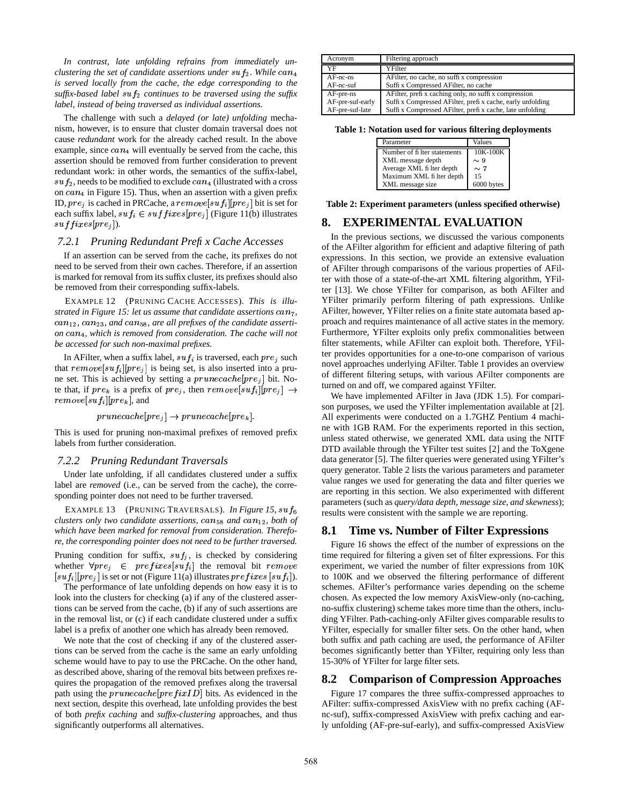*In contrast, late unfolding refrains from immediately unclustering the set of candidate assertions under*  $\sup f_2$ *. While*  $can_4$ *is served locally from the cache, the edge corresponding to the*  $s$ *uffix-based label*  $suf_2$  *continues to be traversed using the suffix label, instead of being traversed as individual assertions.*

The challenge with such a *delayed (or late) unfolding* mechanism, however, is to ensure that cluster domain traversal does not cause *redundant* work for the already cached result. In the above example, since  $can_4$  will eventually be served from the cache, this assertion should be removed from further consideration to prevent redundant work: in other words, the semantics of the suffix-label,  $\mathfrak{su} f_2$ , needs to be modified to exclude  $\mathfrak{can}_4$  (illustrated with a cross on  $can_4$  in Figure 15). Thus, when an assertion with a given prefix ID,  $pre_j$  is cached in PRCache, a  $remove[suf_i][pre_j]$  bit is set for each suffix label,  $suf_i \in suffixes[pre_j]$  (Figure 11(b) illustrates  $suffices[pre_j]).$ 

# *7.2.1 Pruning Redundant Prefix Cache Accesses*

If an assertion can be served from the cache, its prefixes do not need to be served from their own caches. Therefore, if an assertion is marked for removal from its suffix cluster, its prefixes should also be removed from their corresponding suffix-labels.

EXAMPLE 12 (PRUNING CACHE ACCESSES). *This is illustrated* in Figure 15: let us assume that candidate assertions can<sub>7</sub>,  $can_{12}$ ,  $can_{23}$ , and  $can_{58}$ , are all prefixes of the candidate asserti- $\alpha$  *on*  $\alpha$  *an<sub>4</sub>*, *which is removed from consideration. The cache will not be accessed for such non-maximal prefixes.*

In AFilter, when a suffix label,  $suf_i$  is traversed, each  $pre_j$  such that  $remove[suf_i][pre_j]$  is being set, is also inserted into a prune set. This is achieved by setting a  $prunecache[pre_j]$  bit. Note that, if  $pre_k$  is a prefix of  $pre_j$ , then  $remove[suf_i][pre_j] \rightarrow$  $remove[suffix] [pre_k],$  and

 $prunecache[pre_i] \rightarrow prunecache[pre_k]$ 

This is used for pruning non-maximal prefixes of removed prefix labels from further consideration.

#### *7.2.2 Pruning Redundant Traversals*

Under late unfolding, if all candidates clustered under a suffix label are *removed* (i.e., can be served from the cache), the corresponding pointer does not need to be further traversed.

EXAMPLE 13 (PRUNING TRAVERSALS). *In Figure 15, suf*<sup>6</sup> *clusters only two candidate assertions,*  $can_{58}$  *and*  $can_{12}$ *, both of which have been marked for removal from consideration. Therefore, the corresponding pointer does not need to be further traversed.* Pruning condition for suffix,  $suf_i$ , is checked by considering whether  $\forall pre_j \in prefixes[suf_i]$  the removal bit remove ex- $[suf_i][pre_j]$  is set or not (Figure 11(a) illustrates  $prefix(suf_i])$ . to

The performance of late unfolding depends on how easy it is to look into the clusters for checking (a) if any of the clustered assertions can be served from the cache, (b) if any of such assertions are in the removal list, or (c) if each candidate clustered under a suffix label is a prefix of another one which has already been removed.

We note that the cost of checking if any of the clustered assertions can be served from the cache is the same an early unfolding scheme would have to pay to use the PRCache. On the other hand, as described above, sharing of the removal bits between prefixes requires the propagation of the removed prefixes along the traversal path using the  $prunecache[prefixID]$  bits. As evidenced in the next section, despite this overhead, late unfolding provides the best of both *prefix caching* and *suffix-clustering* approaches, and thus significantly outperforms all alternatives.

| Acronym          | Filtering approach                                       |
|------------------|----------------------------------------------------------|
| YF               | YFilter                                                  |
| $AF-nc-ns$       | AFilter, no cache, no suffix compression                 |
| $AF-nc-suf$      | Suffi x Compressed AFilter, no cache                     |
| AF-pre-ns        | A Filter, prefix caching only, no suffix compression     |
| AF-pre-suf-early | Suffix Compressed AFilter, prefix cache, early unfolding |
| AF-pre-suf-late  | Suffix Compressed AFilter, prefix cache, late unfolding  |

**Table 1: Notation used for various filtering deployments**

| Parameter                   | Values     |
|-----------------------------|------------|
| Number of filter statements | 10K-100K   |
| XML message depth           | $\sim 9$   |
| Average XML fi lter depth   | $\sim 7$   |
| Maximum XML fi lter depth   | 15         |
| XML message size            | 6000 bytes |

**Table 2: Experiment parameters (unless specified otherwise)**

### **8. EXPERIMENTAL EVALUATION**

In the previous sections, we discussed the various components of the AFilter algorithm for efficient and adaptive filtering of path expressions. In this section, we provide an extensive evaluation of AFilter through comparisons of the various properties of AFilter with those of a state-of-the-art XML filtering algorithm, YFilter [13]. We chose YFilter for comparison, as both AFilter and YFilter primarily perform filtering of path expressions. Unlike AFilter, however, YFilter relies on a finite state automata based approach and requires maintenance of all active states in the memory. Furthermore, YFilter exploits only prefix commonalities between filter statements, while AFilter can exploit both. Therefore, YFilter provides opportunities for a one-to-one comparison of various novel approaches underlying AFilter. Table 1 provides an overview of different filtering setups, with various AFilter components are turned on and off, we compared against YFilter.

 We have implemented AFilter in Java (JDK 1.5). For comparison purposes, we used the YFilter implementation available at [2]. All experiments were conducted on a 1.7GHZ Pentium 4 machine with 1GB RAM. For the experiments reported in this section, unless stated otherwise, we generated XML data using the NITF DTD available through the YFilter test suites [2] and the ToXgene data generator [5]. The filter queries were generated using YFilter's query generator. Table 2 lists the various parameters and parameter value ranges we used for generating the data and filter queries we are reporting in this section. We also experimented with different parameters (such as *query/data depth, message size, and skewness*); results were consistent with the sample we are reporting.

### **8.1 Time vs. Number of Filter Expressions**

Figure 16 shows the effect of the number of expressions on the time required for filtering a given set of filter expressions. For this experiment, we varied the number of filter expressions from 10K to 100K and we observed the filtering performance of different schemes. AFilter's performance varies depending on the scheme chosen. As expected the low memory AxisView-only (no-caching, no-suffix clustering) scheme takes more time than the others, including YFilter. Path-caching-only AFilter gives comparable results to YFilter, especially for smaller filter sets. On the other hand, when both suffix and path caching are used, the performance of AFilter becomes significantly better than YFilter, requiring only less than 15-30% of YFilter for large filter sets.

### **8.2 Comparison of Compression Approaches**

Figure 17 compares the three suffix-compressed approaches to AFilter: suffix-compressed AxisView with no prefix caching (AFnc-suf), suffix-compressed AxisView with prefix caching and early unfolding (AF-pre-suf-early), and suffix-compressed AxisView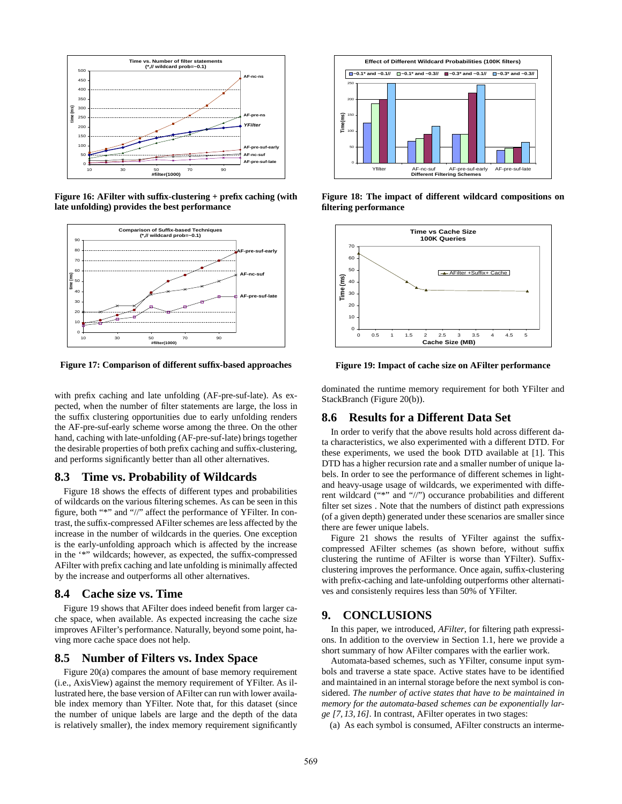

**Figure 16: AFilter with suffix-clustering + prefix caching (with late unfolding) provides the best performance**



**Figure 17: Comparison of different suffix-based approaches**

with prefix caching and late unfolding (AF-pre-suf-late). As expected, when the number of filter statements are large, the loss in the suffix clustering opportunities due to early unfolding renders the AF-pre-suf-early scheme worse among the three. On the other hand, caching with late-unfolding (AF-pre-suf-late) brings together the desirable properties of both prefix caching and suffix-clustering, and performs significantly better than all other alternatives.

### **8.3 Time vs. Probability of Wildcards**

Figure 18 shows the effects of different types and probabilities of wildcards on the various filtering schemes. As can be seen in this figure, both "\*" and "//" affect the performance of YFilter. In contrast, the suffix-compressed AFilter schemes are less affected by the increase in the number of wildcards in the queries. One exception is the early-unfolding approach which is affected by the increase in the '\*" wildcards; however, as expected, the suffix-compressed AFilter with prefix caching and late unfolding is minimally affected by the increase and outperforms all other alternatives.

# **8.4 Cache size vs. Time**

Figure 19 shows that AFilter does indeed benefit from larger cache space, when available. As expected increasing the cache size improves AFilter's performance. Naturally, beyond some point, having more cache space does not help.

### **8.5 Number of Filters vs. Index Space**

Figure 20(a) compares the amount of base memory requirement (i.e., AxisView) against the memory requirement of YFilter. As illustrated here, the base version of AFilter can run with lower available index memory than YFilter. Note that, for this dataset (since the number of unique labels are large and the depth of the data is relatively smaller), the index memory requirement significantly



**Figure 18: The impact of different wildcard compositions on filtering performance**



**Figure 19: Impact of cache size on AFilter performance**

dominated the runtime memory requirement for both YFilter and StackBranch (Figure 20(b)).

# **8.6 Results for a Different Data Set**

In order to verify that the above results hold across different data characteristics, we also experimented with a different DTD. For these experiments, we used the book DTD available at [1]. This DTD has a higher recursion rate and a smaller number of unique labels. In order to see the performance of different schemes in lightand heavy-usage usage of wildcards, we experimented with different wildcard ("\*" and "//") occurance probabilities and different filter set sizes . Note that the numbers of distinct path expressions (of a given depth) generated under these scenarios are smaller since there are fewer unique labels.

Figure 21 shows the results of YFilter against the suffixcompressed AFilter schemes (as shown before, without suffix clustering the runtime of AFilter is worse than YFilter). Suffixclustering improves the performance. Once again, suffix-clustering with prefix-caching and late-unfolding outperforms other alternatives and consistenly requires less than 50% of YFilter.

### **9. CONCLUSIONS**

In this paper, we introduced, *AFilter*, for filtering path expressions. In addition to the overview in Section 1.1, here we provide a short summary of how AFilter compares with the earlier work.

Automata-based schemes, such as YFilter, consume input symbols and traverse a state space. Active states have to be identified and maintained in an internal storage before the next symbol is considered. *The number of active states that have to be maintained in memory for the automata-based schemes can be exponentially large [7, 13, 16]*. In contrast, AFilter operates in two stages:

(a) As each symbol is consumed, AFilter constructs an interme-